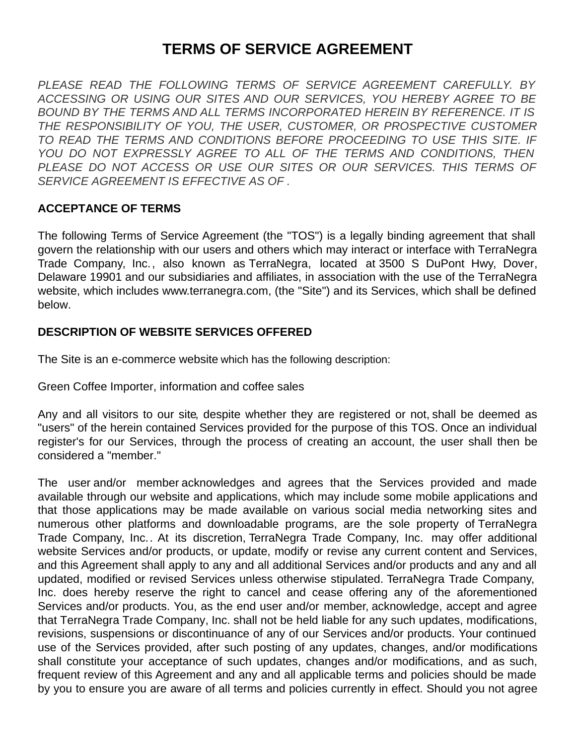# **TERMS OF SERVICE AGREEMENT**

*PLEASE READ THE FOLLOWING TERMS OF SERVICE AGREEMENT CAREFULLY. BY ACCESSING OR USING OUR SITES AND OUR SERVICES, YOU HEREBY AGREE TO BE BOUND BY THE TERMS AND ALL TERMS INCORPORATED HEREIN BY REFERENCE. IT IS THE RESPONSIBILITY OF YOU, THE USER, CUSTOMER, OR PROSPECTIVE CUSTOMER TO READ THE TERMS AND CONDITIONS BEFORE PROCEEDING TO USE THIS SITE. IF YOU DO NOT EXPRESSLY AGREE TO ALL OF THE TERMS AND CONDITIONS, THEN PLEASE DO NOT ACCESS OR USE OUR SITES OR OUR SERVICES. THIS TERMS OF SERVICE AGREEMENT IS EFFECTIVE AS OF .*

### **ACCEPTANCE OF TERMS**

The following Terms of Service Agreement (the "TOS") is a legally binding agreement that shall govern the relationship with our users and others which may interact or interface with TerraNegra Trade Company, Inc., also known as TerraNegra, located at 3500 S DuPont Hwy, Dover, Delaware 19901 and our subsidiaries and affiliates, in association with the use of the TerraNegra website, which includes www.terranegra.com, (the "Site") and its Services, which shall be defined below.

### **DESCRIPTION OF WEBSITE SERVICES OFFERED**

The Site is an e-commerce website which has the following description:

Green Coffee Importer, information and coffee sales

Any and all visitors to our site, despite whether they are registered or not, shall be deemed as "users" of the herein contained Services provided for the purpose of this TOS. Once an individual register's for our Services, through the process of creating an account, the user shall then be considered a "member."

The user and/or member acknowledges and agrees that the Services provided and made available through our website and applications, which may include some mobile applications and that those applications may be made available on various social media networking sites and numerous other platforms and downloadable programs, are the sole property of TerraNegra Trade Company, Inc.. At its discretion, TerraNegra Trade Company, Inc. may offer additional website Services and/or products, or update, modify or revise any current content and Services, and this Agreement shall apply to any and all additional Services and/or products and any and all updated, modified or revised Services unless otherwise stipulated. TerraNegra Trade Company, Inc. does hereby reserve the right to cancel and cease offering any of the aforementioned Services and/or products. You, as the end user and/or member, acknowledge, accept and agree that TerraNegra Trade Company, Inc. shall not be held liable for any such updates, modifications, revisions, suspensions or discontinuance of any of our Services and/or products. Your continued use of the Services provided, after such posting of any updates, changes, and/or modifications shall constitute your acceptance of such updates, changes and/or modifications, and as such, frequent review of this Agreement and any and all applicable terms and policies should be made by you to ensure you are aware of all terms and policies currently in effect. Should you not agree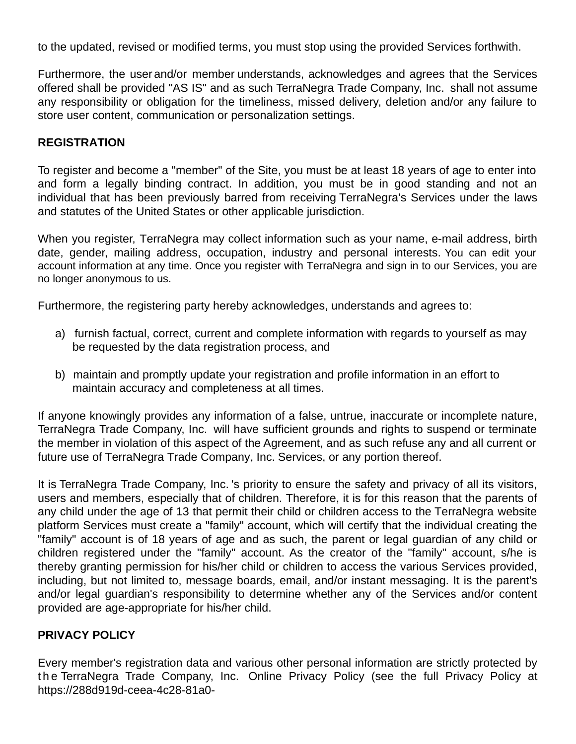to the updated, revised or modified terms, you must stop using the provided Services forthwith.

Furthermore, the user and/or member understands, acknowledges and agrees that the Services offered shall be provided "AS IS" and as such TerraNegra Trade Company, Inc. shall not assume any responsibility or obligation for the timeliness, missed delivery, deletion and/or any failure to store user content, communication or personalization settings.

#### **REGISTRATION**

To register and become a "member" of the Site, you must be at least 18 years of age to enter into and form a legally binding contract. In addition, you must be in good standing and not an individual that has been previously barred from receiving TerraNegra's Services under the laws and statutes of the United States or other applicable jurisdiction.

When you register, TerraNegra may collect information such as your name, e-mail address, birth date, gender, mailing address, occupation, industry and personal interests. You can edit your account information at any time. Once you register with TerraNegra and sign in to our Services, you are no longer anonymous to us.

Furthermore, the registering party hereby acknowledges, understands and agrees to:

- a) furnish factual, correct, current and complete information with regards to yourself as may be requested by the data registration process, and
- b) maintain and promptly update your registration and profile information in an effort to maintain accuracy and completeness at all times.

If anyone knowingly provides any information of a false, untrue, inaccurate or incomplete nature, TerraNegra Trade Company, Inc. will have sufficient grounds and rights to suspend or terminate the member in violation of this aspect of the Agreement, and as such refuse any and all current or future use of TerraNegra Trade Company, Inc. Services, or any portion thereof.

It is TerraNegra Trade Company, Inc. 's priority to ensure the safety and privacy of all its visitors, users and members, especially that of children. Therefore, it is for this reason that the parents of any child under the age of 13 that permit their child or children access to the TerraNegra website platform Services must create a "family" account, which will certify that the individual creating the "family" account is of 18 years of age and as such, the parent or legal guardian of any child or children registered under the "family" account. As the creator of the "family" account, s/he is thereby granting permission for his/her child or children to access the various Services provided, including, but not limited to, message boards, email, and/or instant messaging. It is the parent's and/or legal guardian's responsibility to determine whether any of the Services and/or content provided are age-appropriate for his/her child.

### **PRIVACY POLICY**

Every member's registration data and various other personal information are strictly protected by the TerraNegra Trade Company, Inc. Online Privacy Policy (see the full Privacy Policy at https://288d919d-ceea-4c28-81a0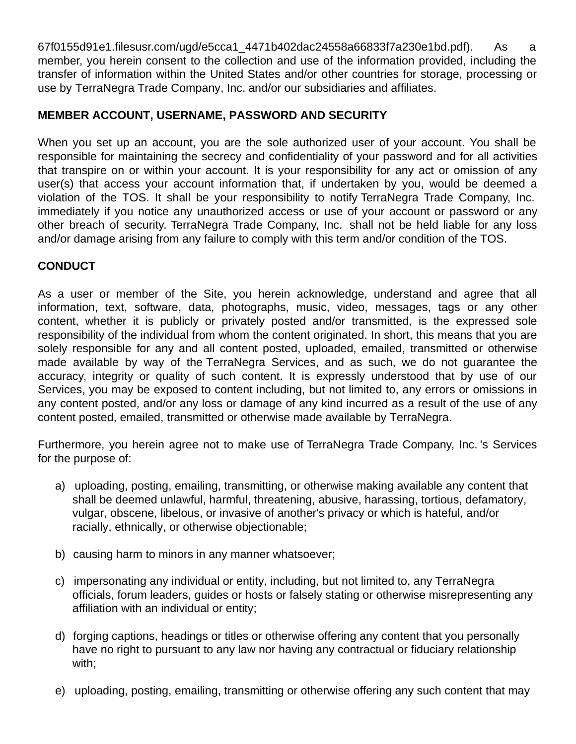67f0155d91e1.filesusr.com/ugd/e5cca1\_4471b402dac24558a66833f7a230e1bd.pdf). As a member, you herein consent to the collection and use of the information provided, including the transfer of information within the United States and/or other countries for storage, processing or use by TerraNegra Trade Company, Inc. and/or our subsidiaries and affiliates.

# **MEMBER ACCOUNT, USERNAME, PASSWORD AND SECURITY**

When you set up an account, you are the sole authorized user of your account. You shall be responsible for maintaining the secrecy and confidentiality of your password and for all activities that transpire on or within your account. It is your responsibility for any act or omission of any user(s) that access your account information that, if undertaken by you, would be deemed a violation of the TOS. It shall be your responsibility to notify TerraNegra Trade Company, Inc. immediately if you notice any unauthorized access or use of your account or password or any other breach of security. TerraNegra Trade Company, Inc. shall not be held liable for any loss and/or damage arising from any failure to comply with this term and/or condition of the TOS.

# **CONDUCT**

As a user or member of the Site, you herein acknowledge, understand and agree that all information, text, software, data, photographs, music, video, messages, tags or any other content, whether it is publicly or privately posted and/or transmitted, is the expressed sole responsibility of the individual from whom the content originated. In short, this means that you are solely responsible for any and all content posted, uploaded, emailed, transmitted or otherwise made available by way of the TerraNegra Services, and as such, we do not guarantee the accuracy, integrity or quality of such content. It is expressly understood that by use of our Services, you may be exposed to content including, but not limited to, any errors or omissions in any content posted, and/or any loss or damage of any kind incurred as a result of the use of any content posted, emailed, transmitted or otherwise made available by TerraNegra.

Furthermore, you herein agree not to make use of TerraNegra Trade Company, Inc. 's Services for the purpose of:

- a) uploading, posting, emailing, transmitting, or otherwise making available any content that shall be deemed unlawful, harmful, threatening, abusive, harassing, tortious, defamatory, vulgar, obscene, libelous, or invasive of another's privacy or which is hateful, and/or racially, ethnically, or otherwise objectionable;
- b) causing harm to minors in any manner whatsoever;
- c) impersonating any individual or entity, including, but not limited to, any TerraNegra officials, forum leaders, guides or hosts or falsely stating or otherwise misrepresenting any affiliation with an individual or entity;
- d) forging captions, headings or titles or otherwise offering any content that you personally have no right to pursuant to any law nor having any contractual or fiduciary relationship with;
- e) uploading, posting, emailing, transmitting or otherwise offering any such content that may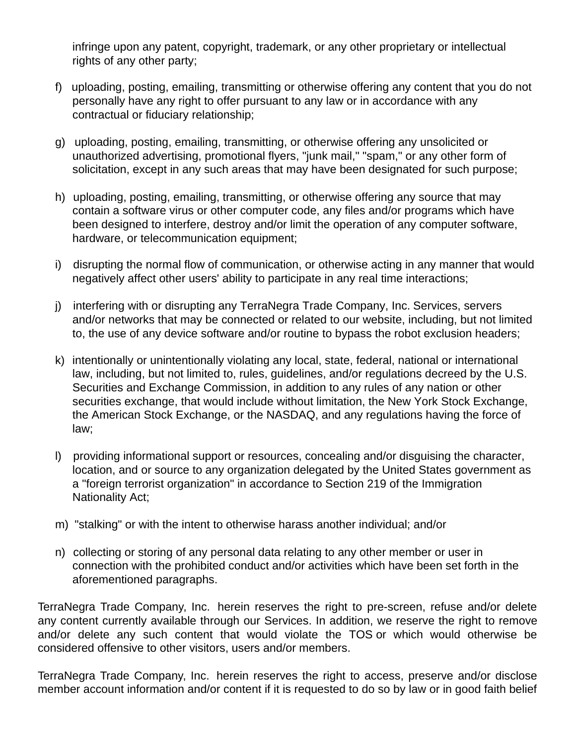infringe upon any patent, copyright, trademark, or any other proprietary or intellectual rights of any other party;

- f) uploading, posting, emailing, transmitting or otherwise offering any content that you do not personally have any right to offer pursuant to any law or in accordance with any contractual or fiduciary relationship;
- g) uploading, posting, emailing, transmitting, or otherwise offering any unsolicited or unauthorized advertising, promotional flyers, "junk mail," "spam," or any other form of solicitation, except in any such areas that may have been designated for such purpose;
- h) uploading, posting, emailing, transmitting, or otherwise offering any source that may contain a software virus or other computer code, any files and/or programs which have been designed to interfere, destroy and/or limit the operation of any computer software, hardware, or telecommunication equipment;
- i) disrupting the normal flow of communication, or otherwise acting in any manner that would negatively affect other users' ability to participate in any real time interactions;
- j) interfering with or disrupting any TerraNegra Trade Company, Inc. Services, servers and/or networks that may be connected or related to our website, including, but not limited to, the use of any device software and/or routine to bypass the robot exclusion headers;
- k) intentionally or unintentionally violating any local, state, federal, national or international law, including, but not limited to, rules, guidelines, and/or regulations decreed by the U.S. Securities and Exchange Commission, in addition to any rules of any nation or other securities exchange, that would include without limitation, the New York Stock Exchange, the American Stock Exchange, or the NASDAQ, and any regulations having the force of law;
- l) providing informational support or resources, concealing and/or disguising the character, location, and or source to any organization delegated by the United States government as a "foreign terrorist organization" in accordance to Section 219 of the Immigration Nationality Act;
- m) "stalking" or with the intent to otherwise harass another individual; and/or
- n) collecting or storing of any personal data relating to any other member or user in connection with the prohibited conduct and/or activities which have been set forth in the aforementioned paragraphs.

TerraNegra Trade Company, Inc. herein reserves the right to pre-screen, refuse and/or delete any content currently available through our Services. In addition, we reserve the right to remove and/or delete any such content that would violate the TOS or which would otherwise be considered offensive to other visitors, users and/or members.

TerraNegra Trade Company, Inc. herein reserves the right to access, preserve and/or disclose member account information and/or content if it is requested to do so by law or in good faith belief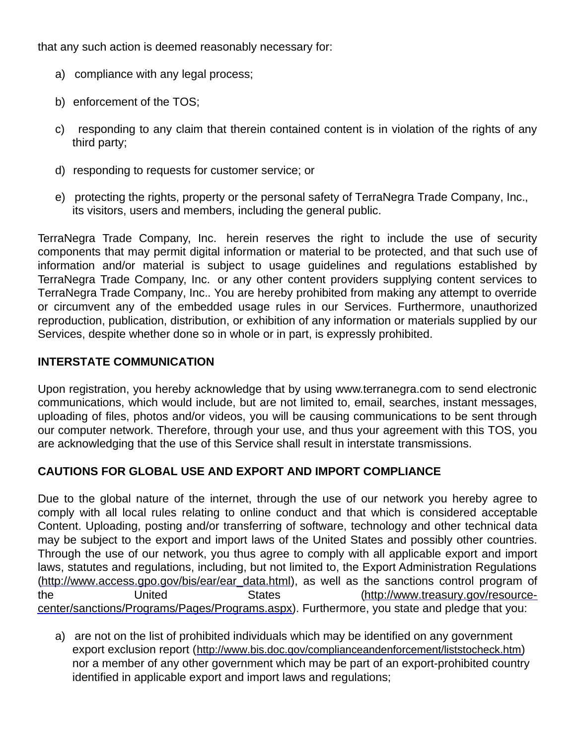that any such action is deemed reasonably necessary for:

- a) compliance with any legal process;
- b) enforcement of the TOS;
- c) responding to any claim that therein contained content is in violation of the rights of any third party;
- d) responding to requests for customer service; or
- e) protecting the rights, property or the personal safety of TerraNegra Trade Company, Inc., its visitors, users and members, including the general public.

TerraNegra Trade Company, Inc. herein reserves the right to include the use of security components that may permit digital information or material to be protected, and that such use of information and/or material is subject to usage guidelines and regulations established by TerraNegra Trade Company, Inc. or any other content providers supplying content services to TerraNegra Trade Company, Inc.. You are hereby prohibited from making any attempt to override or circumvent any of the embedded usage rules in our Services. Furthermore, unauthorized reproduction, publication, distribution, or exhibition of any information or materials supplied by our Services, despite whether done so in whole or in part, is expressly prohibited.

# **INTERSTATE COMMUNICATION**

Upon registration, you hereby acknowledge that by using www.terranegra.com to send electronic communications, which would include, but are not limited to, email, searches, instant messages, uploading of files, photos and/or videos, you will be causing communications to be sent through our computer network. Therefore, through your use, and thus your agreement with this TOS, you are acknowledging that the use of this Service shall result in interstate transmissions.

# **CAUTIONS FOR GLOBAL USE AND EXPORT AND IMPORT COMPLIANCE**

Due to the global nature of the internet, through the use of our network you hereby agree to comply with all local rules relating to online conduct and that which is considered acceptable Content. Uploading, posting and/or transferring of software, technology and other technical data may be subject to the export and import laws of the United States and possibly other countries. Through the use of our network, you thus agree to comply with all applicable export and import laws, statutes and regulations, including, but not limited to, the Export Administration Regulations [\(http://www.access.gpo.gov/bis/ear/ear\\_data.html](http://www.access.gpo.gov/bis/ear/ear_data.html)), as well as the sanctions control program of the United States (http://www.treasury.gov/resource[center/sanctions/Programs/Pages/Programs.aspx\).](http://www.treasury.gov/resource-center/sanctions/Programs/Pages/Programs.aspx) Furthermore, you state and pledge that you:

a) are not on the list of prohibited individuals which may be identified on any government export exclusion report (<http://www.bis.doc.gov/complianceandenforcement/liststocheck.htm>) nor a member of any other government which may be part of an export-prohibited country identified in applicable export and import laws and regulations;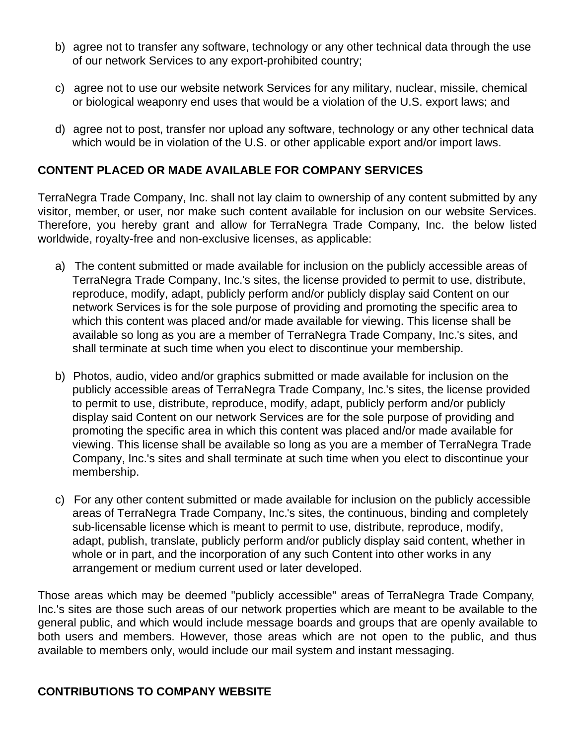- b) agree not to transfer any software, technology or any other technical data through the use of our network Services to any export-prohibited country;
- c) agree not to use our website network Services for any military, nuclear, missile, chemical or biological weaponry end uses that would be a violation of the U.S. export laws; and
- d) agree not to post, transfer nor upload any software, technology or any other technical data which would be in violation of the U.S. or other applicable export and/or import laws.

### **CONTENT PLACED OR MADE AVAILABLE FOR COMPANY SERVICES**

TerraNegra Trade Company, Inc. shall not lay claim to ownership of any content submitted by any visitor, member, or user, nor make such content available for inclusion on our website Services. Therefore, you hereby grant and allow for TerraNegra Trade Company, Inc. the below listed worldwide, royalty-free and non-exclusive licenses, as applicable:

- a) The content submitted or made available for inclusion on the publicly accessible areas of TerraNegra Trade Company, Inc.'s sites, the license provided to permit to use, distribute, reproduce, modify, adapt, publicly perform and/or publicly display said Content on our network Services is for the sole purpose of providing and promoting the specific area to which this content was placed and/or made available for viewing. This license shall be available so long as you are a member of TerraNegra Trade Company, Inc.'s sites, and shall terminate at such time when you elect to discontinue your membership.
- b) Photos, audio, video and/or graphics submitted or made available for inclusion on the publicly accessible areas of TerraNegra Trade Company, Inc.'s sites, the license provided to permit to use, distribute, reproduce, modify, adapt, publicly perform and/or publicly display said Content on our network Services are for the sole purpose of providing and promoting the specific area in which this content was placed and/or made available for viewing. This license shall be available so long as you are a member of TerraNegra Trade Company, Inc.'s sites and shall terminate at such time when you elect to discontinue your membership.
- c) For any other content submitted or made available for inclusion on the publicly accessible areas of TerraNegra Trade Company, Inc.'s sites, the continuous, binding and completely sub-licensable license which is meant to permit to use, distribute, reproduce, modify, adapt, publish, translate, publicly perform and/or publicly display said content, whether in whole or in part, and the incorporation of any such Content into other works in any arrangement or medium current used or later developed.

Those areas which may be deemed "publicly accessible" areas of TerraNegra Trade Company, Inc.'s sites are those such areas of our network properties which are meant to be available to the general public, and which would include message boards and groups that are openly available to both users and members. However, those areas which are not open to the public, and thus available to members only, would include our mail system and instant messaging.

### **CONTRIBUTIONS TO COMPANY WEBSITE**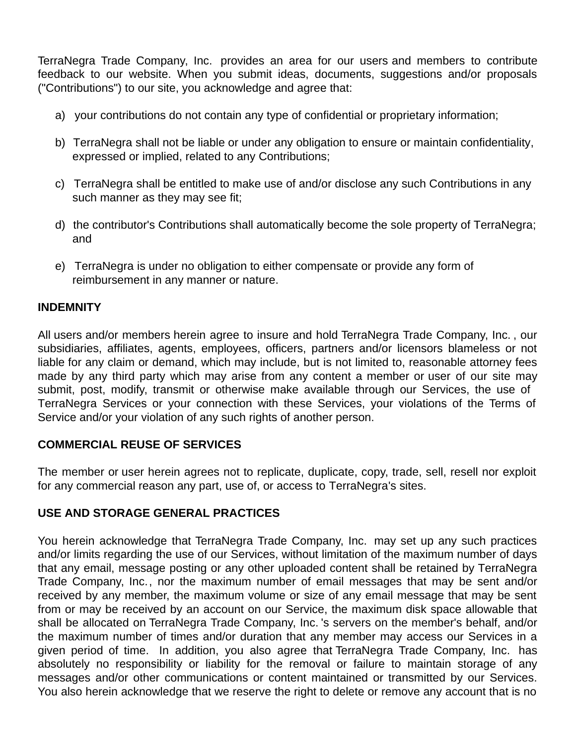TerraNegra Trade Company, Inc. provides an area for our users and members to contribute feedback to our website. When you submit ideas, documents, suggestions and/or proposals ("Contributions") to our site, you acknowledge and agree that:

- a) your contributions do not contain any type of confidential or proprietary information;
- b) TerraNegra shall not be liable or under any obligation to ensure or maintain confidentiality, expressed or implied, related to any Contributions;
- c) TerraNegra shall be entitled to make use of and/or disclose any such Contributions in any such manner as they may see fit;
- d) the contributor's Contributions shall automatically become the sole property of TerraNegra; and
- e) TerraNegra is under no obligation to either compensate or provide any form of reimbursement in any manner or nature.

# **INDEMNITY**

All users and/or members herein agree to insure and hold TerraNegra Trade Company, Inc. , our subsidiaries, affiliates, agents, employees, officers, partners and/or licensors blameless or not liable for any claim or demand, which may include, but is not limited to, reasonable attorney fees made by any third party which may arise from any content a member or user of our site may submit, post, modify, transmit or otherwise make available through our Services, the use of TerraNegra Services or your connection with these Services, your violations of the Terms of Service and/or your violation of any such rights of another person.

# **COMMERCIAL REUSE OF SERVICES**

The member or user herein agrees not to replicate, duplicate, copy, trade, sell, resell nor exploit for any commercial reason any part, use of, or access to TerraNegra's sites.

# **USE AND STORAGE GENERAL PRACTICES**

You herein acknowledge that TerraNegra Trade Company, Inc. may set up any such practices and/or limits regarding the use of our Services, without limitation of the maximum number of days that any email, message posting or any other uploaded content shall be retained by TerraNegra Trade Company, Inc., nor the maximum number of email messages that may be sent and/or received by any member, the maximum volume or size of any email message that may be sent from or may be received by an account on our Service, the maximum disk space allowable that shall be allocated on TerraNegra Trade Company, Inc. 's servers on the member's behalf, and/or the maximum number of times and/or duration that any member may access our Services in a given period of time. In addition, you also agree that TerraNegra Trade Company, Inc. has absolutely no responsibility or liability for the removal or failure to maintain storage of any messages and/or other communications or content maintained or transmitted by our Services. You also herein acknowledge that we reserve the right to delete or remove any account that is no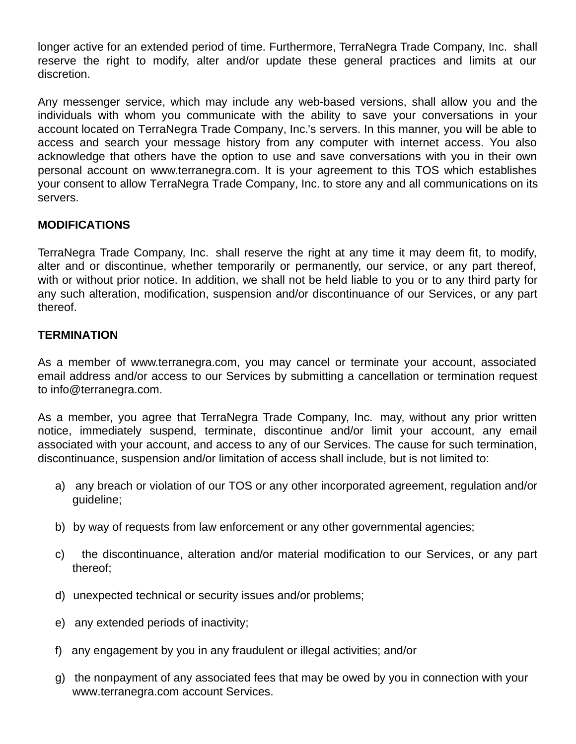longer active for an extended period of time. Furthermore, TerraNegra Trade Company, Inc. shall reserve the right to modify, alter and/or update these general practices and limits at our discretion.

Any messenger service, which may include any web-based versions, shall allow you and the individuals with whom you communicate with the ability to save your conversations in your account located on TerraNegra Trade Company, Inc.'s servers. In this manner, you will be able to access and search your message history from any computer with internet access. You also acknowledge that others have the option to use and save conversations with you in their own personal account on www.terranegra.com. It is your agreement to this TOS which establishes your consent to allow TerraNegra Trade Company, Inc. to store any and all communications on its servers.

# **MODIFICATIONS**

TerraNegra Trade Company, Inc. shall reserve the right at any time it may deem fit, to modify, alter and or discontinue, whether temporarily or permanently, our service, or any part thereof, with or without prior notice. In addition, we shall not be held liable to you or to any third party for any such alteration, modification, suspension and/or discontinuance of our Services, or any part thereof.

# **TERMINATION**

As a member of www.terranegra.com, you may cancel or terminate your account, associated email address and/or access to our Services by submitting a cancellation or termination request to info@terranegra.com.

As a member, you agree that TerraNegra Trade Company, Inc. may, without any prior written notice, immediately suspend, terminate, discontinue and/or limit your account, any email associated with your account, and access to any of our Services. The cause for such termination, discontinuance, suspension and/or limitation of access shall include, but is not limited to:

- a) any breach or violation of our TOS or any other incorporated agreement, regulation and/or guideline;
- b) by way of requests from law enforcement or any other governmental agencies;
- c) the discontinuance, alteration and/or material modification to our Services, or any part thereof;
- d) unexpected technical or security issues and/or problems;
- e) any extended periods of inactivity;
- f) any engagement by you in any fraudulent or illegal activities; and/or
- g) the nonpayment of any associated fees that may be owed by you in connection with your www.terranegra.com account Services.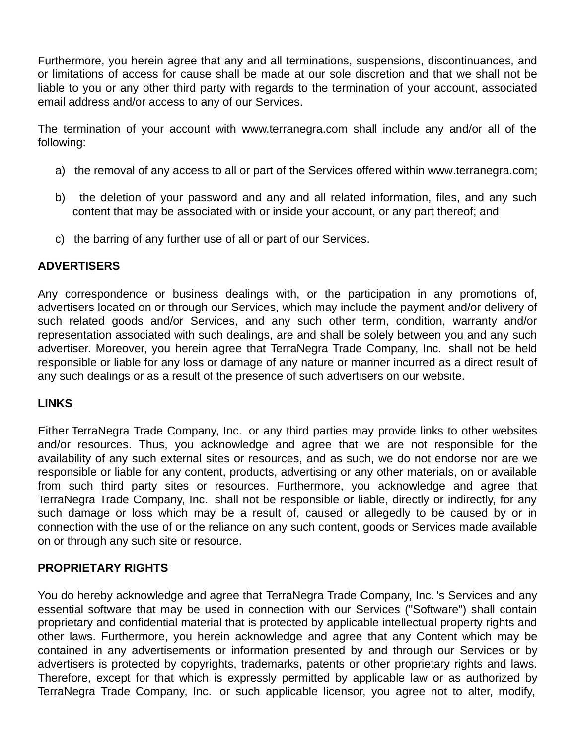Furthermore, you herein agree that any and all terminations, suspensions, discontinuances, and or limitations of access for cause shall be made at our sole discretion and that we shall not be liable to you or any other third party with regards to the termination of your account, associated email address and/or access to any of our Services.

The termination of your account with www.terranegra.com shall include any and/or all of the following:

- a) the removal of any access to all or part of the Services offered within www.terranegra.com;
- b) the deletion of your password and any and all related information, files, and any such content that may be associated with or inside your account, or any part thereof; and
- c) the barring of any further use of all or part of our Services.

### **ADVERTISERS**

Any correspondence or business dealings with, or the participation in any promotions of, advertisers located on or through our Services, which may include the payment and/or delivery of such related goods and/or Services, and any such other term, condition, warranty and/or representation associated with such dealings, are and shall be solely between you and any such advertiser. Moreover, you herein agree that TerraNegra Trade Company, Inc. shall not be held responsible or liable for any loss or damage of any nature or manner incurred as a direct result of any such dealings or as a result of the presence of such advertisers on our website.

# **LINKS**

Either TerraNegra Trade Company, Inc. or any third parties may provide links to other websites and/or resources. Thus, you acknowledge and agree that we are not responsible for the availability of any such external sites or resources, and as such, we do not endorse nor are we responsible or liable for any content, products, advertising or any other materials, on or available from such third party sites or resources. Furthermore, you acknowledge and agree that TerraNegra Trade Company, Inc. shall not be responsible or liable, directly or indirectly, for any such damage or loss which may be a result of, caused or allegedly to be caused by or in connection with the use of or the reliance on any such content, goods or Services made available on or through any such site or resource.

# **PROPRIETARY RIGHTS**

You do hereby acknowledge and agree that TerraNegra Trade Company, Inc. 's Services and any essential software that may be used in connection with our Services ("Software") shall contain proprietary and confidential material that is protected by applicable intellectual property rights and other laws. Furthermore, you herein acknowledge and agree that any Content which may be contained in any advertisements or information presented by and through our Services or by advertisers is protected by copyrights, trademarks, patents or other proprietary rights and laws. Therefore, except for that which is expressly permitted by applicable law or as authorized by TerraNegra Trade Company, Inc. or such applicable licensor, you agree not to alter, modify,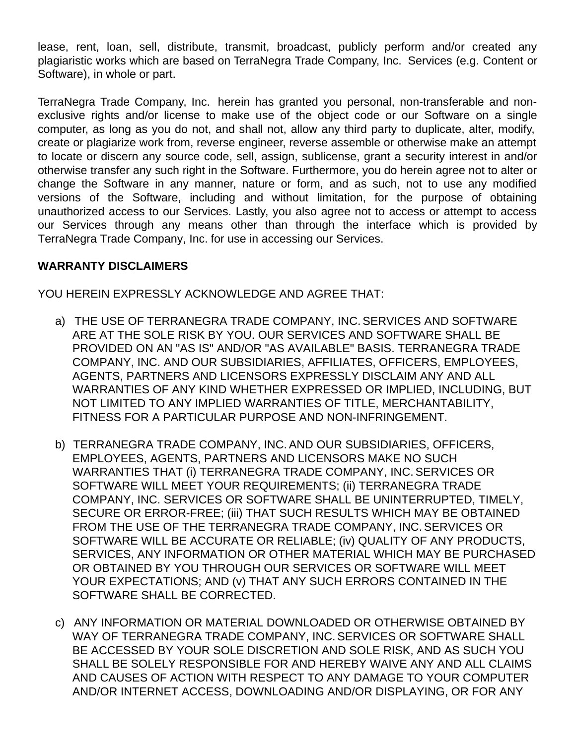lease, rent, loan, sell, distribute, transmit, broadcast, publicly perform and/or created any plagiaristic works which are based on TerraNegra Trade Company, Inc. Services (e.g. Content or Software), in whole or part.

TerraNegra Trade Company, Inc. herein has granted you personal, non-transferable and nonexclusive rights and/or license to make use of the object code or our Software on a single computer, as long as you do not, and shall not, allow any third party to duplicate, alter, modify, create or plagiarize work from, reverse engineer, reverse assemble or otherwise make an attempt to locate or discern any source code, sell, assign, sublicense, grant a security interest in and/or otherwise transfer any such right in the Software. Furthermore, you do herein agree not to alter or change the Software in any manner, nature or form, and as such, not to use any modified versions of the Software, including and without limitation, for the purpose of obtaining unauthorized access to our Services. Lastly, you also agree not to access or attempt to access our Services through any means other than through the interface which is provided by TerraNegra Trade Company, Inc. for use in accessing our Services.

### **WARRANTY DISCLAIMERS**

YOU HEREIN EXPRESSLY ACKNOWLEDGE AND AGREE THAT:

- a) THE USE OF TERRANEGRA TRADE COMPANY, INC.SERVICES AND SOFTWARE ARE AT THE SOLE RISK BY YOU. OUR SERVICES AND SOFTWARE SHALL BE PROVIDED ON AN "AS IS" AND/OR "AS AVAILABLE" BASIS. TERRANEGRA TRADE COMPANY, INC. AND OUR SUBSIDIARIES, AFFILIATES, OFFICERS, EMPLOYEES, AGENTS, PARTNERS AND LICENSORS EXPRESSLY DISCLAIM ANY AND ALL WARRANTIES OF ANY KIND WHETHER EXPRESSED OR IMPLIED, INCLUDING, BUT NOT LIMITED TO ANY IMPLIED WARRANTIES OF TITLE, MERCHANTABILITY, FITNESS FOR A PARTICULAR PURPOSE AND NON-INFRINGEMENT.
- b) TERRANEGRA TRADE COMPANY, INC.AND OUR SUBSIDIARIES, OFFICERS, EMPLOYEES, AGENTS, PARTNERS AND LICENSORS MAKE NO SUCH WARRANTIES THAT (i) TERRANEGRA TRADE COMPANY, INC.SERVICES OR SOFTWARE WILL MEET YOUR REQUIREMENTS; (ii) TERRANEGRA TRADE COMPANY, INC. SERVICES OR SOFTWARE SHALL BE UNINTERRUPTED, TIMELY, SECURE OR ERROR-FREE; (iii) THAT SUCH RESULTS WHICH MAY BE OBTAINED FROM THE USE OF THE TERRANEGRA TRADE COMPANY, INC.SERVICES OR SOFTWARE WILL BE ACCURATE OR RELIABLE; (iv) QUALITY OF ANY PRODUCTS, SERVICES, ANY INFORMATION OR OTHER MATERIAL WHICH MAY BE PURCHASED OR OBTAINED BY YOU THROUGH OUR SERVICES OR SOFTWARE WILL MEET YOUR EXPECTATIONS; AND (v) THAT ANY SUCH ERRORS CONTAINED IN THE SOFTWARE SHALL BE CORRECTED.
- c) ANY INFORMATION OR MATERIAL DOWNLOADED OR OTHERWISE OBTAINED BY WAY OF TERRANEGRA TRADE COMPANY, INC.SERVICES OR SOFTWARE SHALL BE ACCESSED BY YOUR SOLE DISCRETION AND SOLE RISK, AND AS SUCH YOU SHALL BE SOLELY RESPONSIBLE FOR AND HEREBY WAIVE ANY AND ALL CLAIMS AND CAUSES OF ACTION WITH RESPECT TO ANY DAMAGE TO YOUR COMPUTER AND/OR INTERNET ACCESS, DOWNLOADING AND/OR DISPLAYING, OR FOR ANY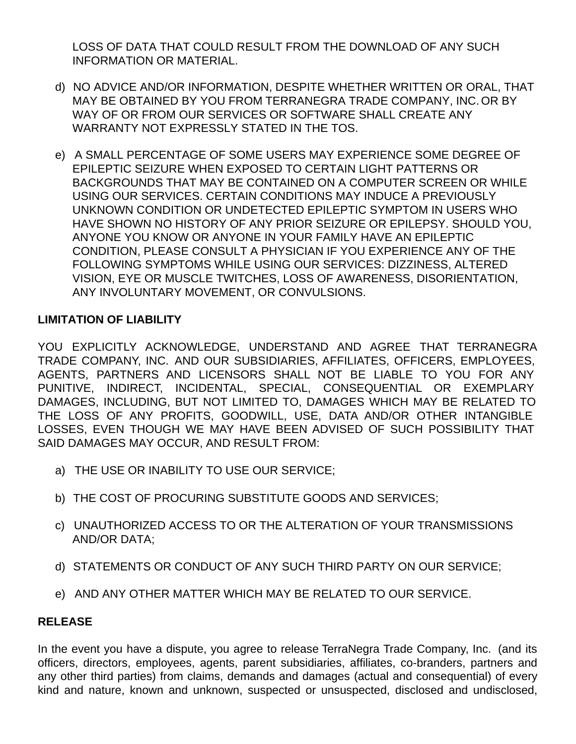LOSS OF DATA THAT COULD RESULT FROM THE DOWNLOAD OF ANY SUCH INFORMATION OR MATERIAL.

- d) NO ADVICE AND/OR INFORMATION, DESPITE WHETHER WRITTEN OR ORAL, THAT MAY BE OBTAINED BY YOU FROM TERRANEGRA TRADE COMPANY, INC. OR BY WAY OF OR FROM OUR SERVICES OR SOFTWARE SHALL CREATE ANY WARRANTY NOT EXPRESSLY STATED IN THE TOS.
- e) A SMALL PERCENTAGE OF SOME USERS MAY EXPERIENCE SOME DEGREE OF EPILEPTIC SEIZURE WHEN EXPOSED TO CERTAIN LIGHT PATTERNS OR BACKGROUNDS THAT MAY BE CONTAINED ON A COMPUTER SCREEN OR WHILE USING OUR SERVICES. CERTAIN CONDITIONS MAY INDUCE A PREVIOUSLY UNKNOWN CONDITION OR UNDETECTED EPILEPTIC SYMPTOM IN USERS WHO HAVE SHOWN NO HISTORY OF ANY PRIOR SEIZURE OR EPILEPSY. SHOULD YOU, ANYONE YOU KNOW OR ANYONE IN YOUR FAMILY HAVE AN EPILEPTIC CONDITION, PLEASE CONSULT A PHYSICIAN IF YOU EXPERIENCE ANY OF THE FOLLOWING SYMPTOMS WHILE USING OUR SERVICES: DIZZINESS, ALTERED VISION, EYE OR MUSCLE TWITCHES, LOSS OF AWARENESS, DISORIENTATION, ANY INVOLUNTARY MOVEMENT, OR CONVULSIONS.

# **LIMITATION OF LIABILITY**

YOU EXPLICITLY ACKNOWLEDGE, UNDERSTAND AND AGREE THAT TERRANEGRA TRADE COMPANY, INC. AND OUR SUBSIDIARIES, AFFILIATES, OFFICERS, EMPLOYEES, AGENTS, PARTNERS AND LICENSORS SHALL NOT BE LIABLE TO YOU FOR ANY PUNITIVE, INDIRECT, INCIDENTAL, SPECIAL, CONSEQUENTIAL OR EXEMPLARY DAMAGES, INCLUDING, BUT NOT LIMITED TO, DAMAGES WHICH MAY BE RELATED TO THE LOSS OF ANY PROFITS, GOODWILL, USE, DATA AND/OR OTHER INTANGIBLE LOSSES, EVEN THOUGH WE MAY HAVE BEEN ADVISED OF SUCH POSSIBILITY THAT SAID DAMAGES MAY OCCUR, AND RESULT FROM:

- a) THE USE OR INABILITY TO USE OUR SERVICE;
- b) THE COST OF PROCURING SUBSTITUTE GOODS AND SERVICES;
- c) UNAUTHORIZED ACCESS TO OR THE ALTERATION OF YOUR TRANSMISSIONS AND/OR DATA;
- d) STATEMENTS OR CONDUCT OF ANY SUCH THIRD PARTY ON OUR SERVICE;
- e) AND ANY OTHER MATTER WHICH MAY BE RELATED TO OUR SERVICE.

# **RELEASE**

In the event you have a dispute, you agree to release TerraNegra Trade Company, Inc. (and its officers, directors, employees, agents, parent subsidiaries, affiliates, co-branders, partners and any other third parties) from claims, demands and damages (actual and consequential) of every kind and nature, known and unknown, suspected or unsuspected, disclosed and undisclosed,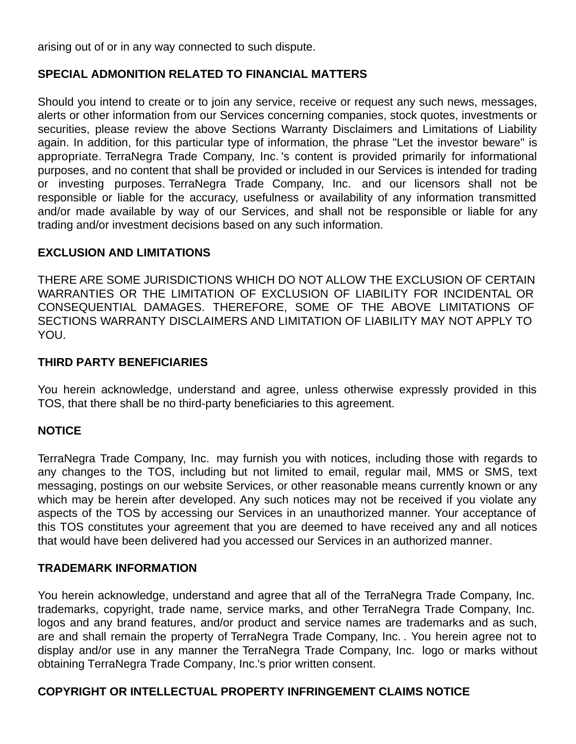arising out of or in any way connected to such dispute.

# **SPECIAL ADMONITION RELATED TO FINANCIAL MATTERS**

Should you intend to create or to join any service, receive or request any such news, messages, alerts or other information from our Services concerning companies, stock quotes, investments or securities, please review the above Sections Warranty Disclaimers and Limitations of Liability again. In addition, for this particular type of information, the phrase "Let the investor beware" is appropriate. TerraNegra Trade Company, Inc. 's content is provided primarily for informational purposes, and no content that shall be provided or included in our Services is intended for trading or investing purposes. TerraNegra Trade Company, Inc. and our licensors shall not be responsible or liable for the accuracy, usefulness or availability of any information transmitted and/or made available by way of our Services, and shall not be responsible or liable for any trading and/or investment decisions based on any such information.

### **EXCLUSION AND LIMITATIONS**

THERE ARE SOME JURISDICTIONS WHICH DO NOT ALLOW THE EXCLUSION OF CERTAIN WARRANTIES OR THE LIMITATION OF EXCLUSION OF LIABILITY FOR INCIDENTAL OR CONSEQUENTIAL DAMAGES. THEREFORE, SOME OF THE ABOVE LIMITATIONS OF SECTIONS WARRANTY DISCLAIMERS AND LIMITATION OF LIABILITY MAY NOT APPLY TO YOU.

### **THIRD PARTY BENEFICIARIES**

You herein acknowledge, understand and agree, unless otherwise expressly provided in this TOS, that there shall be no third-party beneficiaries to this agreement.

# **NOTICE**

TerraNegra Trade Company, Inc. may furnish you with notices, including those with regards to any changes to the TOS, including but not limited to email, regular mail, MMS or SMS, text messaging, postings on our website Services, or other reasonable means currently known or any which may be herein after developed. Any such notices may not be received if you violate any aspects of the TOS by accessing our Services in an unauthorized manner. Your acceptance of this TOS constitutes your agreement that you are deemed to have received any and all notices that would have been delivered had you accessed our Services in an authorized manner.

### **TRADEMARK INFORMATION**

You herein acknowledge, understand and agree that all of the TerraNegra Trade Company, Inc. trademarks, copyright, trade name, service marks, and other TerraNegra Trade Company, Inc. logos and any brand features, and/or product and service names are trademarks and as such, are and shall remain the property of TerraNegra Trade Company, Inc. . You herein agree not to display and/or use in any manner the TerraNegra Trade Company, Inc. logo or marks without obtaining TerraNegra Trade Company, Inc.'s prior written consent.

# **COPYRIGHT OR INTELLECTUAL PROPERTY INFRINGEMENT CLAIMS NOTICE**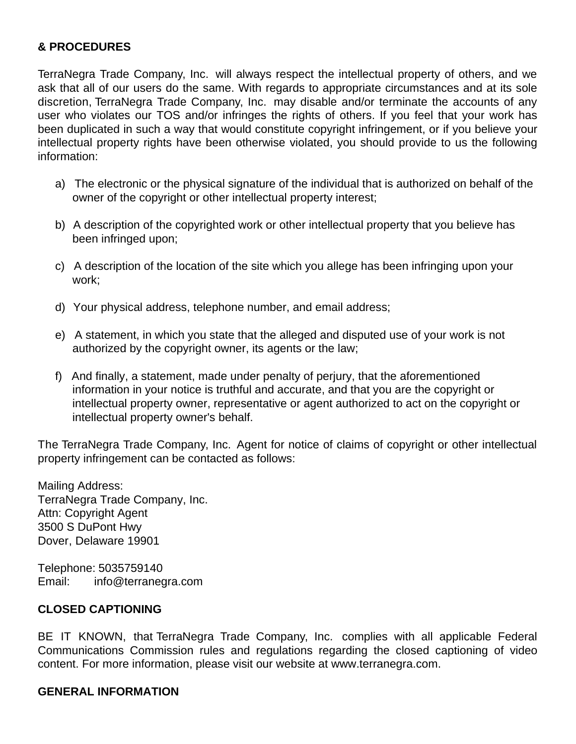### **& PROCEDURES**

TerraNegra Trade Company, Inc. will always respect the intellectual property of others, and we ask that all of our users do the same. With regards to appropriate circumstances and at its sole discretion, TerraNegra Trade Company, Inc. may disable and/or terminate the accounts of any user who violates our TOS and/or infringes the rights of others. If you feel that your work has been duplicated in such a way that would constitute copyright infringement, or if you believe your intellectual property rights have been otherwise violated, you should provide to us the following information:

- a) The electronic or the physical signature of the individual that is authorized on behalf of the owner of the copyright or other intellectual property interest;
- b) A description of the copyrighted work or other intellectual property that you believe has been infringed upon;
- c) A description of the location of the site which you allege has been infringing upon your work;
- d) Your physical address, telephone number, and email address;
- e) A statement, in which you state that the alleged and disputed use of your work is not authorized by the copyright owner, its agents or the law;
- f) And finally, a statement, made under penalty of perjury, that the aforementioned information in your notice is truthful and accurate, and that you are the copyright or intellectual property owner, representative or agent authorized to act on the copyright or intellectual property owner's behalf.

The TerraNegra Trade Company, Inc. Agent for notice of claims of copyright or other intellectual property infringement can be contacted as follows:

Mailing Address: TerraNegra Trade Company, Inc. Attn: Copyright Agent 3500 S DuPont Hwy Dover, Delaware 19901

Telephone: 5035759140 Email: info@terranegra.com

### **CLOSED CAPTIONING**

BE IT KNOWN, that TerraNegra Trade Company, Inc. complies with all applicable Federal Communications Commission rules and regulations regarding the closed captioning of video content. For more information, please visit our website at www.terranegra.com.

### **GENERAL INFORMATION**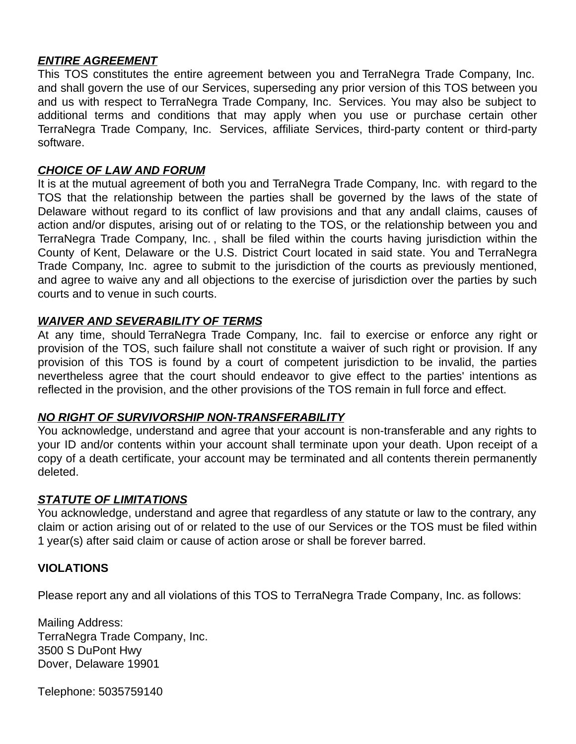### *ENTIRE AGREEMENT*

This TOS constitutes the entire agreement between you and TerraNegra Trade Company, Inc. and shall govern the use of our Services, superseding any prior version of this TOS between you and us with respect to TerraNegra Trade Company, Inc. Services. You may also be subject to additional terms and conditions that may apply when you use or purchase certain other TerraNegra Trade Company, Inc. Services, affiliate Services, third-party content or third-party software.

### *CHOICE OF LAW AND FORUM*

It is at the mutual agreement of both you and TerraNegra Trade Company, Inc. with regard to the TOS that the relationship between the parties shall be governed by the laws of the state of Delaware without regard to its conflict of law provisions and that any andall claims, causes of action and/or disputes, arising out of or relating to the TOS, or the relationship between you and TerraNegra Trade Company, Inc. , shall be filed within the courts having jurisdiction within the County of Kent, Delaware or the U.S. District Court located in said state. You and TerraNegra Trade Company, Inc. agree to submit to the jurisdiction of the courts as previously mentioned, and agree to waive any and all objections to the exercise of jurisdiction over the parties by such courts and to venue in such courts.

# *WAIVER AND SEVERABILITY OF TERMS*

At any time, should TerraNegra Trade Company, Inc. fail to exercise or enforce any right or provision of the TOS, such failure shall not constitute a waiver of such right or provision. If any provision of this TOS is found by a court of competent jurisdiction to be invalid, the parties nevertheless agree that the court should endeavor to give effect to the parties' intentions as reflected in the provision, and the other provisions of the TOS remain in full force and effect.

# *NO RIGHT OF SURVIVORSHIP NON-TRANSFERABILITY*

You acknowledge, understand and agree that your account is non-transferable and any rights to your ID and/or contents within your account shall terminate upon your death. Upon receipt of a copy of a death certificate, your account may be terminated and all contents therein permanently deleted.

# *STATUTE OF LIMITATIONS*

You acknowledge, understand and agree that regardless of any statute or law to the contrary, any claim or action arising out of or related to the use of our Services or the TOS must be filed within 1 year(s) after said claim or cause of action arose or shall be forever barred.

# **VIOLATIONS**

Please report any and all violations of this TOS to TerraNegra Trade Company, Inc. as follows:

Mailing Address: TerraNegra Trade Company, Inc. 3500 S DuPont Hwy Dover, Delaware 19901

Telephone: 5035759140